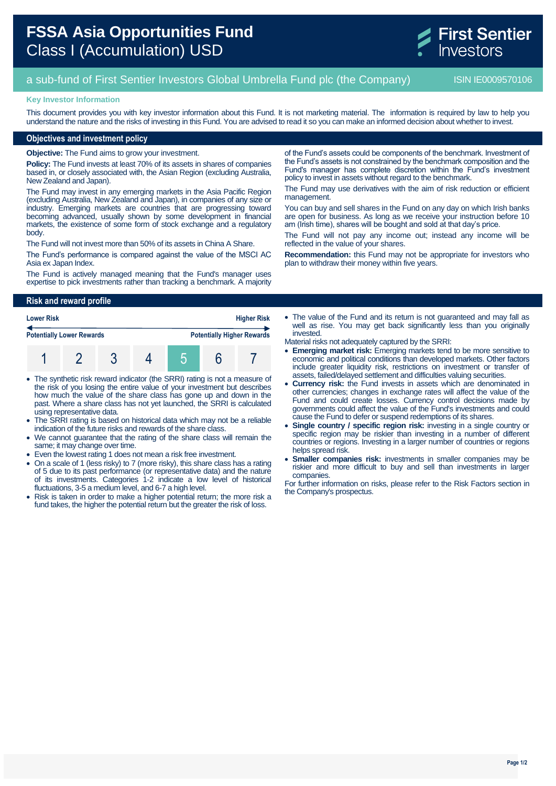# **FSSA Asia Opportunities Fund** Class I (Accumulation) USD



## a sub-fund of First Sentier Investors Global Umbrella Fund plc (the Company) ISIN IE0009570106

#### **Key Investor Information**

This document provides you with key investor information about this Fund. It is not marketing material. The information is required by law to help you understand the nature and the risks of investing in this Fund. You are advised to read it so you can make an informed decision about whether to invest.

#### **Objectives and investment policy**

**Objective:** The Fund aims to grow your investment.

**Policy:** The Fund invests at least 70% of its assets in shares of companies based in, or closely associated with, the Asian Region (excluding Australia, New Zealand and Japan).

The Fund may invest in any emerging markets in the Asia Pacific Region (excluding Australia, New Zealand and Japan), in companies of any size or industry. Emerging markets are countries that are progressing toward becoming advanced, usually shown by some development in financial markets, the existence of some form of stock exchange and a regulatory body.

The Fund will not invest more than 50% of its assets in China A Share.

The Fund's performance is compared against the value of the MSCI AC Asia ex Japan Index.

The Fund is actively managed meaning that the Fund's manager uses expertise to pick investments rather than tracking a benchmark. A majority of the Fund's assets could be components of the benchmark. Investment of the Fund's assets is not constrained by the benchmark composition and the Fund's manager has complete discretion within the Fund's investment policy to invest in assets without regard to the benchmark.

The Fund may use derivatives with the aim of risk reduction or efficient management.

You can buy and sell shares in the Fund on any day on which Irish banks are open for business. As long as we receive your instruction before 10 am (Irish time), shares will be bought and sold at that day's price.

The Fund will not pay any income out; instead any income will be reflected in the value of your shares.

**Recommendation:** this Fund may not be appropriate for investors who plan to withdraw their money within five years.

#### **Risk and reward profile**

| <b>Lower Risk</b>                |  |  |  | <b>Higher Risk</b> |  |                                   |
|----------------------------------|--|--|--|--------------------|--|-----------------------------------|
| <b>Potentially Lower Rewards</b> |  |  |  |                    |  | <b>Potentially Higher Rewards</b> |
|                                  |  |  |  |                    |  |                                   |

- The synthetic risk reward indicator (the SRRI) rating is not a measure of the risk of you losing the entire value of your investment but describes how much the value of the share class has gone up and down in the past. Where a share class has not yet launched, the SRRI is calculated using representative data.
- The SRRI rating is based on historical data which may not be a reliable indication of the future risks and rewards of the share class.
- We cannot guarantee that the rating of the share class will remain the same; it may change over time.
- Even the lowest rating 1 does not mean a risk free investment.
- On a scale of 1 (less risky) to 7 (more risky), this share class has a rating of 5 due to its past performance (or representative data) and the nature of its investments. Categories 1-2 indicate a low level of historical fluctuations, 3-5 a medium level, and 6-7 a high level.
- Risk is taken in order to make a higher potential return; the more risk a fund takes, the higher the potential return but the greater the risk of loss.
- The value of the Fund and its return is not quaranteed and may fall as well as rise. You may get back significantly less than you originally invested.
- Material risks not adequately captured by the SRRI:
- **Emerging market risk:** Emerging markets tend to be more sensitive to economic and political conditions than developed markets. Other factors include greater liquidity risk, restrictions on investment or transfer of assets, failed/delayed settlement and difficulties valuing securities.
- **Currency risk:** the Fund invests in assets which are denominated in other currencies; changes in exchange rates will affect the value of the Fund and could create losses. Currency control decisions made by governments could affect the value of the Fund's investments and could cause the Fund to defer or suspend redemptions of its shares.
- **Single country / specific region risk:** investing in a single country or specific region may be riskier than investing in a number of different countries or regions. Investing in a larger number of countries or regions helps spread risk.
- **Smaller companies risk:** investments in smaller companies may be riskier and more difficult to buy and sell than investments in larger companies.

For further information on risks, please refer to the Risk Factors section in the Company's prospectus.